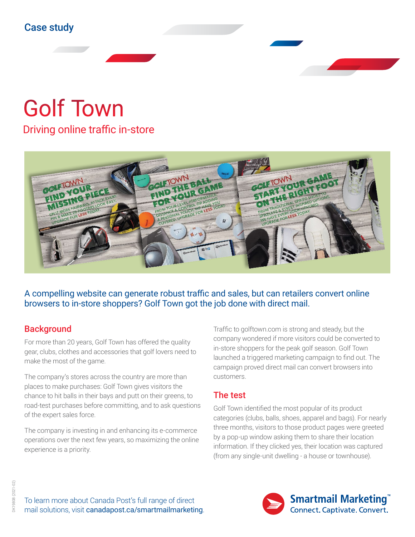# Golf Town

Driving online traffic in-store



A compelling website can generate robust traffic and sales, but can retailers convert online browsers to in-store shoppers? Golf Town got the job done with direct mail.

## **Background**

For more than 20 years, Golf Town has offered the quality gear, clubs, clothes and accessories that golf lovers need to make the most of the game.

The company's stores across the country are more than places to make purchases: Golf Town gives visitors the chance to hit balls in their bays and putt on their greens, to road-test purchases before committing, and to ask questions of the expert sales force.

The company is investing in and enhancing its e-commerce operations over the next few years, so maximizing the online experience is a priority.

Traffic to golftown.com is strong and steady, but the company wondered if more visitors could be converted to in-store shoppers for the peak golf season. Golf Town launched a triggered marketing campaign to find out. The campaign proved direct mail can convert browsers into customers.

### The test

Golf Town identified the most popular of its product categories (clubs, balls, shoes, apparel and bags). For nearly three months, visitors to those product pages were greeted by a pop-up window asking them to share their location information. If they clicked yes, their location was captured (from any single-unit dwelling - a house or townhouse).